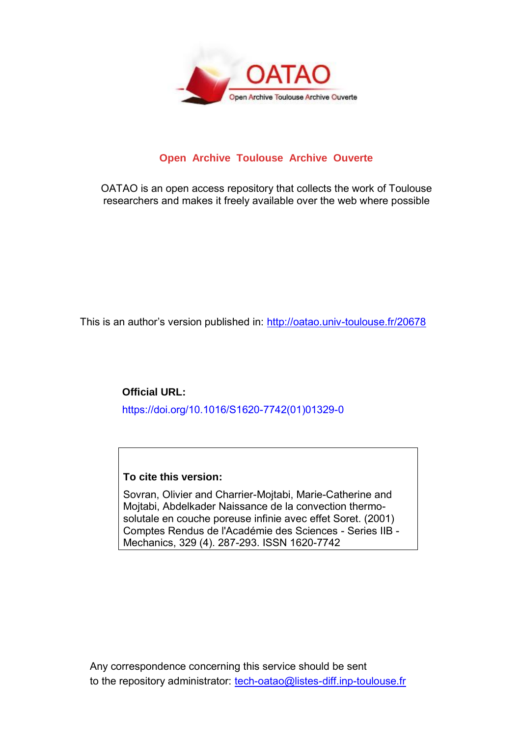

## **Open Archive Toulouse Archive Ouverte**

OATAO is an open access repository that collects the work of Toulouse researchers and makes it freely available over the web where possible

This is an author's version published in:<http://oatao.univ-toulouse.fr/20678>

**Official URL:** https://doi.org/10.1016/S1620-7742(01)01329-0

## **To cite this version:**

Sovran, Olivier and Charrier-Mojtabi, Marie-Catherine and Mojtabi, Abdelkader Naissance de la convection thermosolutale en couche poreuse infinie avec effet Soret. (2001) Comptes Rendus de l'Académie des Sciences - Series IIB - Mechanics, 329 (4). 287-293. ISSN 1620-7742

Any correspondence concerning this service should be sent to the repository administrator: [tech-oatao@listes-diff.inp-toulouse.fr](mailto:tech-oatao@listes-diff.inp-toulouse.fr)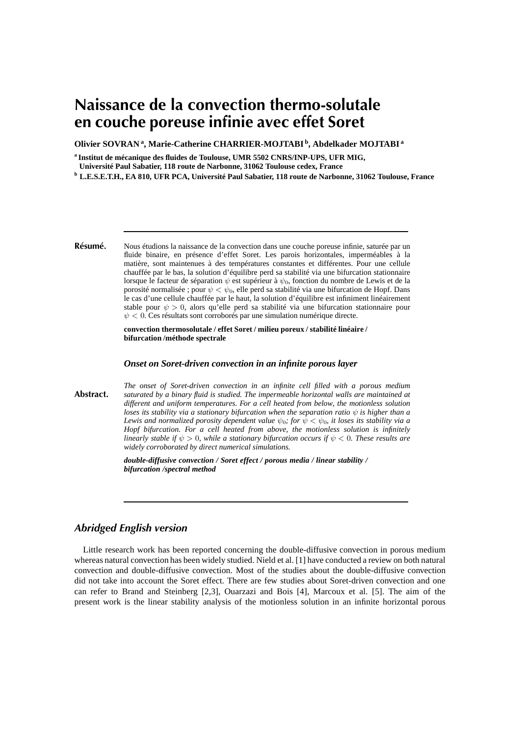# **Naissance de la convection thermo-solutale en couche poreuse infinie avec effet Soret**

**Olivier SOVRAN <sup>a</sup> , Marie-Catherine CHARRIER-MOJTABI <sup>b</sup> , Abdelkader MOJTABI <sup>a</sup>**

**a Institut de mécanique des fluides de Toulouse, UMR 5502 CNRS/INP-UPS, UFR MIG,**

**Université Paul Sabatier, 118 route de Narbonne, 31062 Toulouse cedex, France**

**<sup>b</sup> L.E.S.E.T.H., EA 810, UFR PCA, Université Paul Sabatier, 118 route de Narbonne, 31062 Toulouse, France**

**Résumé.** Nous étudions la naissance de la convection dans une couche poreuse infinie, saturée par un fluide binaire, en présence d'effet Soret. Les parois horizontales, imperméables à la matière, sont maintenues à des températures constantes et différentes. Pour une cellule chauffée par le bas, la solution d'équilibre perd sa stabilité via une bifurcation stationnaire lorsque le facteur de séparation  $\psi$  est supérieur à  $\psi_0$ , fonction du nombre de Lewis et de la porosité normalisée ; pour  $\psi < \psi_0$ , elle perd sa stabilité via une bifurcation de Hopf. Dans le cas d'une cellule chauffée par le haut, la solution d'équilibre est infiniment linéairement stable pour  $\psi > 0$ , alors qu'elle perd sa stabilité via une bifurcation stationnaire pour  $\psi$  < 0. Ces résultats sont corroborés par une simulation numérique directe.

> **convection thermosolutale / effet Soret / milieu poreux / stabilité linéaire / bifurcation /méthode spectrale**

#### *Onset on Soret-driven convection in an infinite porous layer*

**Abstract.** *The onset of Soret-driven convection in an infinite cell filled with a porous medium saturated by a binary fluid is studied. The impermeable horizontal walls are maintained at different and uniform temperatures. For a cell heated from below, the motionless solution loses its stability via a stationary bifurcation when the separation ratio*  $\psi$  *is higher than a Lewis* and normalized porosity dependent value  $\psi_0$ ; for  $\psi < \psi_0$ , it loses its stability via a *Hopf bifurcation. For a cell heated from above, the motionless solution is infinitely linearly stable if*  $\psi > 0$ *, while a stationary bifurcation occurs if*  $\psi < 0$ *. These results are widely corroborated by direct numerical simulations.*

> *double-diffusive convection / Soret effect / porous media / linear stability / bifurcation /spectral method*

### *Abridged English version*

Little research work has been reported concerning the double-diffusive convection in porous medium whereas natural convection has been widely studied. Nield et al. [1] have conducted a review on both natural convection and double-diffusive convection. Most of the studies about the double-diffusive convection did not take into account the Soret effect. There are few studies about Soret-driven convection and one can refer to Brand and Steinberg [2,3], Ouarzazi and Bois [4], Marcoux et al. [5]. The aim of the present work is the linear stability analysis of the motionless solution in an infinite horizontal porous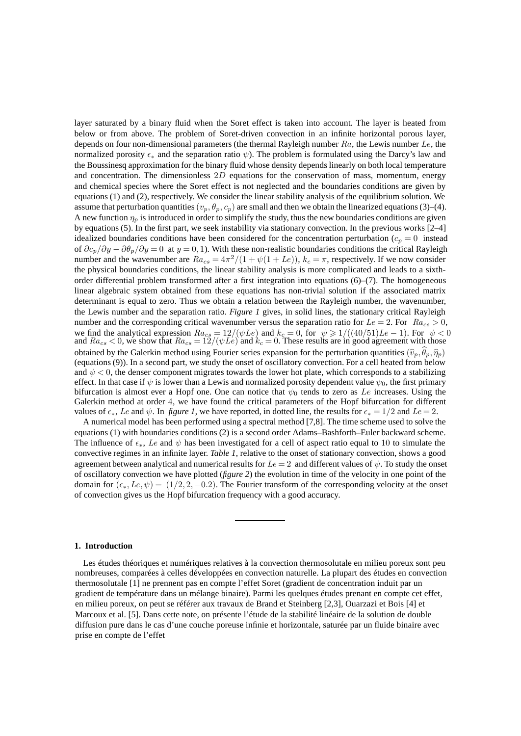layer saturated by a binary fluid when the Soret effect is taken into account. The layer is heated from below or from above. The problem of Soret-driven convection in an infinite horizontal porous layer, depends on four non-dimensional parameters (the thermal Rayleigh number  $Ra$ , the Lewis number  $Le$ , the normalized porosity  $\epsilon_*$  and the separation ratio  $\psi$ ). The problem is formulated using the Darcy's law and the Boussinesq approximation for the binary fluid whose density dependslinearly on both local temperature and concentration. The dimensionless  $2D$  equations for the conservation of mass, momentum, energy and chemical species where the Soret effect is not neglected and the boundaries conditions are given by equations (1) and (2), respectively. We consider the linear stability analysis of the equilibrium solution. We assume that perturbation quantities  $(v_p, \theta_p, c_p)$  are small and then we obtain the linearized equations (3)–(4). A new function  $\eta_p$  is introduced in order to simplify the study, thus the new boundaries conditions are given by equations (5). In the first part, we seek instability via stationary convection. In the previous works [2–4] idealized boundaries conditions have been considered for the concentration perturbation  $(c_p = 0)$  instead of  $\partial c_p/\partial y - \partial \theta_p/\partial y = 0$  at  $y = 0, 1$ ). With these non-realistic boundaries conditions the critical Rayleigh number and the wavenumber are  $Ra_{cs} = 4\pi^2/(1 + \psi(1 + Le))$ ,  $k_c = \pi$ , respectively. If we now consider the physical boundaries conditions, the linear stability analysis is more complicated and leads to a sixthorder differential problem transformed after a first integration into equations (6)–(7). The homogeneous linear algebraic system obtained from these equations has non-trivial solution if the associated matrix determinant is equal to zero. Thus we obtain a relation between the Rayleigh number, the wavenumber, the Lewis number and the separation ratio. *Figure 1* gives, in solid lines, the stationary critical Rayleigh number and the corresponding critical wavenumber versus the separation ratio for  $Le = 2$ . For  $Ra_{cs} > 0$ , we find the analytical expression  $Ra_{cs} = 12/(\psi Le)$  and  $k_c = 0$ , for  $\psi \ge 1/((40/51)Le - 1)$ . For  $\psi < 0$  and  $Ra_{cs} < 0$ , we show that  $Ra_{cs} = 12/(\psi Le)$  and  $k_c = 0$ . These results are in good agreement with those obtained by the Galerkin method using Fourier series expansion for the perturbation quantities  $(\hat{v}_p, \theta_p, \hat{\eta}_p)$ (equations (9)). In a second part, we study the onset of oscillatory convection. For a cell heated from below and  $\psi$  < 0, the denser component migrates towards the lower hot plate, which corresponds to a stabilizing effect. In that case if  $\psi$  is lower than a Lewis and normalized porosity dependent value  $\psi_0$ , the first primary bifurcation is almost ever a Hopf one. One can notice that  $\psi_0$  tends to zero as Le increases. Using the Galerkin method at order 4, we have found the critical parameters of the Hopf bifurcation for different values of  $\epsilon_*$ , Le and  $\psi$ . In *figure 1*, we have reported, in dotted line, the results for  $\epsilon_* = 1/2$  and Le = 2.

A numerical model has been performed using a spectral method [7,8]. The time scheme used to solve the equations (1) with boundaries conditions (2) is a second order Adams–Bashforth–Euler backward scheme. The influence of  $\epsilon_*$ , Le and  $\psi$  has been investigated for a cell of aspect ratio equal to 10 to simulate the convective regimes in an infinite layer. *Table 1*, relative to the onset of stationary convection, shows a good agreement between analytical and numerical results for  $Le = 2$  and different values of  $\psi$ . To study the onset of oscillatory convection we have plotted (*figure 2*) the evolution in time of the velocity in one point of the domain for  $(\epsilon_*, L_e, \psi) = (1/2, 2, -0.2)$ . The Fourier transform of the corresponding velocity at the onset of convection gives us the Hopf bifurcation frequency with a good accuracy.

#### **1. Introduction**

Les études théoriques et numériques relatives à la convection thermosolutale en milieu poreux sont peu nombreuses, comparées à celles développées en convection naturelle. La plupart des études en convection thermosolutale [1] ne prennent pas en compte l'effet Soret (gradient de concentration induit par un gradient de température dans un mélange binaire). Parmi les quelques études prenant en compte cet effet, en milieu poreux, on peut se référer aux travaux de Brand et Steinberg [2,3], Ouarzazi et Bois [4] et Marcoux et al. [5]. Dans cette note, on présente l'étude de la stabilité linéaire de la solution de double diffusion pure dans le cas d'une couche poreuse infinie et horizontale, saturée par un fluide binaire avec prise en compte de l'effet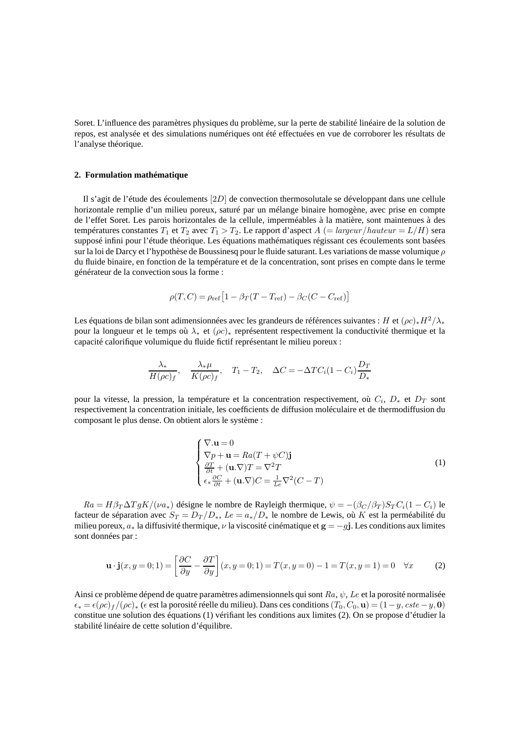Soret. L'influence des paramètres physiques du problème, sur la perte de stabilité linéaire de la solution de repos, est analysée et des simulations numériques ont été effectuées en vue de corroborer les résultats de l'analyse théorique.

#### **2. Formulation mathématique**

Il s'agit de l'étude des écoulements [2D] de convection thermosolutale se développant dans une cellule horizontale remplie d'un milieu poreux, saturé par un mélange binaire homogène, avec prise en compte de l'effet Soret. Les parois horizontales de la cellule, imperméables à la matière, sont maintenues à des températures constantes  $T_1$  et  $T_2$  avec  $T_1 > T_2$ . Le rapport d'aspect  $A$  (= largeur/hauteur = L/H) sera supposé infini pour l'étude théorique. Les équations mathématiques régissant ces écoulements sont basées sur la loi de Darcy et l'hypothèse de Boussinesq pour le fluide saturant. Les variations de masse volumique  $\rho$ du fluide binaire, en fonction de la température et de la concentration, sont prises en compte dans le terme générateur de la convection sous la forme :

$$
\rho(T, C) = \rho_{\text{ref}} \left[ 1 - \beta_T (T - T_{\text{ref}}) - \beta_C (C - C_{\text{ref}}) \right]
$$

Les équations de bilan sont adimensionnées avec les grandeurs de références suivantes : H et  $(\rho c)_*H^2/\lambda_*$ pour la longueur et le temps où λ<sup>∗</sup> et (ρc)<sup>∗</sup> représentent respectivement la conductivité thermique et la capacité calorifique volumique du fluide fictif représentant le milieu poreux :

$$
\frac{\lambda_*}{H(\rho c)_f}, \quad \frac{\lambda_* \mu}{K(\rho c)_f}, \quad T_1 - T_2, \quad \Delta C = -\Delta T C_i (1 - C_i) \frac{D_T}{D_*}
$$

pour la vitesse, la pression, la température et la concentration respectivement, où  $C_i$ ,  $D_*$  et  $D_T$  sont respectivement la concentration initiale, les coefficients de diffusion moléculaire et de thermodiffusion du composant le plus dense. On obtient alors le système :

$$
\begin{cases}\n\nabla \cdot \mathbf{u} = 0 \\
\nabla p + \mathbf{u} = Ra(T + \psi C)\mathbf{j} \\
\frac{\partial T}{\partial t} + (\mathbf{u}.\nabla)T = \nabla^2 T \\
\epsilon_* \frac{\partial C}{\partial t} + (\mathbf{u}.\nabla)C = \frac{1}{Le} \nabla^2 (C - T)\n\end{cases}
$$
\n(1)

 $Ra = H\beta_T\Delta TgK/(\nu a_*)$  désigne le nombre de Rayleigh thermique,  $\psi = -(\beta_C/\beta_T)S_TC_i(1-C_i)$  le facteur de séparation avec  $S_T = D_T/D_*$ ,  $Le = a_*/D_*$  le nombre de Lewis, où K est la perméabilité du milieu poreux,  $a_*$  la diffusivité thermique,  $\nu$  la viscosité cinématique et  $\mathbf{g} = -g\mathbf{j}$ . Les conditions aux limites sont données par :

$$
\mathbf{u} \cdot \mathbf{j}(x, y=0; 1) = \left[\frac{\partial C}{\partial y} - \frac{\partial T}{\partial y}\right](x, y=0; 1) = T(x, y=0) - 1 = T(x, y=1) = 0 \quad \forall x \tag{2}
$$

Ainsi ce problème dépend de quatre paramètres adimensionnels qui sont  $Ra, \psi, Le$  et la porosité normalisée  $\epsilon_* = \epsilon (\rho c)_f / (\rho c)_*$  ( $\epsilon$  est la porosité réelle du milieu). Dans ces conditions  $(T_0, C_0, \mathbf{u}) = (1-y, cste - y, \mathbf{0})$ constitue une solution des équations (1) vérifiant les conditions aux limites (2). On se propose d'étudier la stabilité linéaire de cette solution d'équilibre.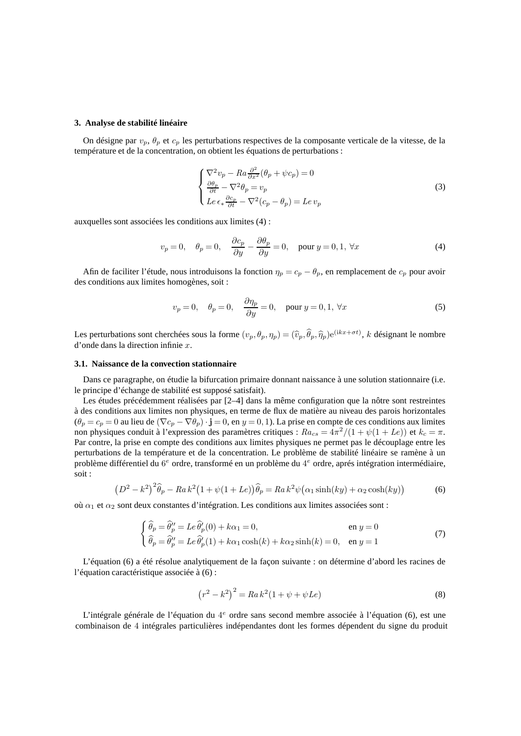#### **3. Analyse de stabilité linéaire**

On désigne par  $v_p$ ,  $\theta_p$  et  $c_p$  les perturbations respectives de la composante verticale de la vitesse, de la température et de la concentration, on obtient les équations de perturbations :

$$
\begin{cases}\n\nabla^2 v_p - Ra \frac{\partial^2}{\partial x^2} (\theta_p + \psi c_p) = 0 \\
\frac{\partial \theta_p}{\partial t} - \nabla^2 \theta_p = v_p \\
Le \epsilon_* \frac{\partial c_p}{\partial t} - \nabla^2 (c_p - \theta_p) = Le \, v_p\n\end{cases}
$$
\n(3)

auxquelles sont associées les conditions aux limites (4) :

$$
v_p = 0, \quad \theta_p = 0, \quad \frac{\partial c_p}{\partial y} - \frac{\partial \theta_p}{\partial y} = 0, \quad \text{pour } y = 0, 1, \forall x \tag{4}
$$

Afin de faciliter l'étude, nous introduisons la fonction  $\eta_p = c_p - \theta_p$ , en remplacement de  $c_p$  pour avoir des conditions aux limites homogènes, soit :

$$
v_p = 0, \quad \theta_p = 0, \quad \frac{\partial \eta_p}{\partial y} = 0, \quad \text{pour } y = 0, 1, \forall x \tag{5}
$$

Les perturbations sont cherchées sous la forme  $(v_p, \theta_p, \eta_p) = (\hat{v}_p, \hat{\theta}_p, \hat{\eta}_p) e^{(ikx+\sigma t)}$ , k désignant le nombre d'onde dans la direction infinie x.

#### **3.1. Naissance de la convection stationnaire**

Dans ce paragraphe, on étudie la bifurcation primaire donnant naissance à une solution stationnaire (i.e. le principe d'échange de stabilité est supposé satisfait).

Les études précédemment réalisées par [2–4] dans la même configuration que la nôtre sont restreintes à des conditions aux limites non physiques, en terme de flux de matière au niveau des parois horizontales  $(\theta_p = c_p = 0$  au lieu de  $(\nabla c_p - \nabla \theta_p) \cdot \mathbf{j} = 0$ , en  $y = 0, 1$ ). La prise en compte de ces conditions aux limites non physiques conduit à l'expression des paramètres critiques :  $Ra_{cs} = 4\pi^2/(1 + \psi(1 + Le))$  et  $k_c = \pi$ . Par contre, la prise en compte des conditions aux limites physiques ne permet pas le découplage entre les perturbations de la température et de la concentration. Le problème de stabilité linéaire se ramène à un problème différentiel du  $6^e$  ordre, transformé en un problème du  $4^e$  ordre, aprés intégration intermédiaire, soit :

$$
(D2 - k2)2\widehat{\theta}_p - Ra k2 (1 + \psi(1 + Le))\widehat{\theta}_p = Ra k2 \psi(\alpha_1 \sinh(ky) + \alpha_2 \cosh(ky))
$$
 (6)

où  $α_1$  et  $α_2$  sont deux constantes d'intégration. Les conditions aux limites associées sont :

$$
\begin{cases}\n\hat{\theta}_p = \hat{\theta}_p'' = Le \hat{\theta}_p'(0) + k\alpha_1 = 0, & \text{en } y = 0 \\
\hat{\theta}_p = \hat{\theta}_p'' = Le \hat{\theta}_p'(1) + k\alpha_1 \cosh(k) + k\alpha_2 \sinh(k) = 0, & \text{en } y = 1\n\end{cases}
$$
\n(7)

L'équation (6) a été résolue analytiquement de la façon suivante : on détermine d'abord les racines de l'équation caractéristique associée à (6) :

$$
(r^2 - k^2)^2 = Ra k^2 (1 + \psi + \psi Le)
$$
\n(8)

L'intégrale générale de l'équation du 4<sup>e</sup> ordre sans second membre associée à l'équation (6), est une combinaison de 4 intégrales particulières indépendantes dont les formes dépendent du signe du produit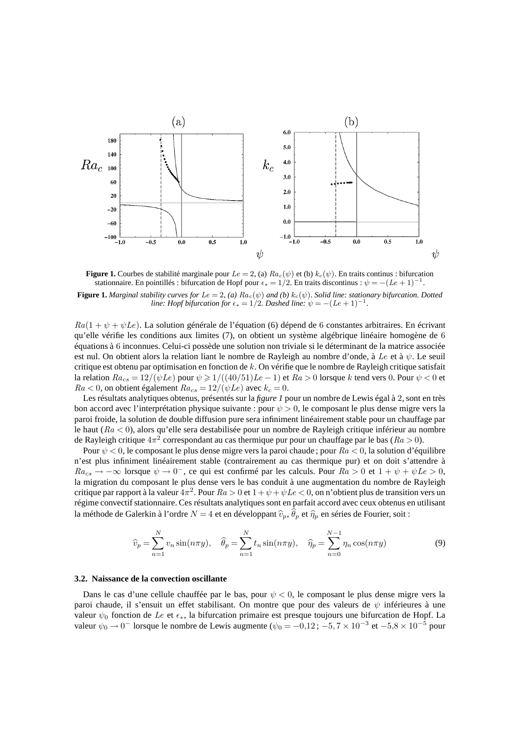

**Figure 1.** Courbes de stabilité marginale pour  $Le = 2$ , (a)  $Ra_c(\psi)$  et (b)  $k_c(\psi)$ . En traits continus : bifurcation stationnaire. En pointillés : bifurcation de Hopf pour  $\epsilon_* = 1/2$ . En traits discontinus :  $\psi = -(Le + 1)^{-1}$ .

**Figure 1.** *Marginal stability curves for*  $Le = 2$ , (a)  $Ra_c(\psi)$  and (b)  $k_c(\psi)$ . Solid line: stationary bifurcation. Dotted *line: Hopf bifurcation for*  $\epsilon_* = 1/2$ *. Dashed line:*  $\psi = -(Le + 1)^{-1}$ *.* 

 $Ra(1 + \psi + \psi Le)$ . La solution générale de l'équation (6) dépend de 6 constantes arbitraires. En écrivant qu'elle vérifie les conditions aux limites (7), on obtient un système algébrique linéaire homogène de 6 équations à 6 inconnues. Celui-ci possède une solution non triviale si le déterminant de la matrice associée est nul. On obtient alors la relation liant le nombre de Rayleigh au nombre d'onde, à Le et à  $\psi$ . Le seuil critique est obtenu par optimisation en fonction de k. On vérifie que le nombre de Rayleigh critique satisfait la relation  $Ra_{cs} = 12/(\psi Le)$  pour  $\psi \ge 1/((40/51)Le - 1)$  et  $Ra > 0$  lorsque k tend vers 0. Pour  $\psi < 0$  et  $Ra < 0$ , on obtient également  $Ra_{cs} = 12/(\psi Le)$  avec  $k_c = 0$ .

Les résultats analytiques obtenus, présentés sur la *figure 1* pour un nombre de Lewis égal à 2, sont en très bon accord avec l'interprétation physique suivante : pour  $\psi > 0$ , le composant le plus dense migre vers la paroi froide, la solution de double diffusion pure sera infiniment linéairement stable pour un chauffage par le haut ( $Ra < 0$ ), alors qu'elle sera destabilisée pour un nombre de Rayleigh critique inférieur au nombre de Rayleigh critique  $4\pi^2$  correspondant au cas thermique pur pour un chauffage par le bas ( $Ra > 0$ ).

Pour  $\psi$  < 0, le composant le plus dense migre vers la paroi chaude; pour  $Ra$  < 0, la solution d'équilibre n'est plus infiniment linéairement stable (contrairement au cas thermique pur) et on doit s'attendre à  $Ra_{cs} \rightarrow -\infty$  lorsque  $\psi \rightarrow 0^-$ , ce qui est confirmé par les calculs. Pour  $Ra > 0$  et  $1 + \psi + \psi Le > 0$ , la migration du composant le plus dense vers le bas conduit à une augmentation du nombre de Rayleigh critique par rapport à la valeur  $4\pi^2$ . Pour  $Ra > 0$  et  $1 + \psi + \psi Le < 0$ , on n'obtient plus de transition vers un régime convectif stationnaire. Ces résultats analytiques sont en parfait accord avec ceux obtenus en utilisant la méthode de Galerkin à l'ordre  $N=4$  et en développant  $\widehat{v}_p, \theta_p$  et  $\widehat{\eta}_p$  en séries de Fourier, soit :

$$
\widehat{v}_p = \sum_{n=1}^N v_n \sin(n\pi y), \quad \widehat{\theta}_p = \sum_{n=1}^N t_n \sin(n\pi y), \quad \widehat{\eta}_p = \sum_{n=0}^{N-1} \eta_n \cos(n\pi y)
$$
\n(9)

#### **3.2. Naissance de la convection oscillante**

Dans le cas d'une cellule chauffée par le bas, pour  $\psi < 0$ , le composant le plus dense migre vers la paroi chaude, il s'ensuit un effet stabilisant. On montre que pour des valeurs de  $\psi$  inférieures à une valeur  $\psi_0$  fonction de Le et  $\epsilon_*$ , la bifurcation primaire est presque toujours une bifurcation de Hopf. La valeur  $\psi_0 \to 0^-$  lorsque le nombre de Lewis augmente ( $\psi_0 = -0.12$ ;  $-5.7 \times 10^{-3}$  et  $-5.8 \times 10^{-5}$  pour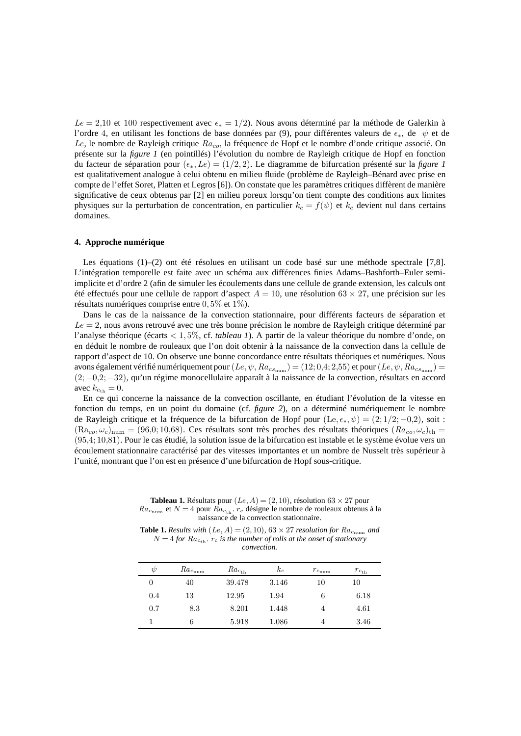$Le = 2,10$  et 100 respectivement avec  $\epsilon_* = 1/2$ ). Nous avons déterminé par la méthode de Galerkin à l'ordre 4, en utilisant les fonctions de base données par (9), pour différentes valeurs de  $\epsilon_*$ , de  $\psi$  et de Le, le nombre de Rayleigh critique  $Ra_{co}$ , la fréquence de Hopf et le nombre d'onde critique associé. On présente sur la *figure 1* (en pointillés) l'évolution du nombre de Rayleigh critique de Hopf en fonction du facteur de séparation pour ( $\epsilon_*, L$ e) = (1/2, 2). Le diagramme de bifurcation présenté sur la *figure 1* est qualitativement analogue à celui obtenu en milieu fluide (problème de Rayleigh–Bénard avec prise en compte de l'effet Soret, Platten et Legros [6]). On constate que les paramètres critiques diffèrent de manière significative de ceux obtenus par [2] en milieu poreux lorsqu'on tient compte des conditions aux limites physiques sur la perturbation de concentration, en particulier  $k_c = f(\psi)$  et  $k_c$  devient nul dans certains domaines.

#### **4. Approche numérique**

Les équations (1)–(2) ont été résolues en utilisant un code basé sur une méthode spectrale [7,8]. L'intégration temporelle est faite avec un schéma aux différences finies Adams–Bashforth–Euler semiimplicite et d'ordre 2 (afin de simuler les écoulements dans une cellule de grande extension, les calculs ont été effectués pour une cellule de rapport d'aspect  $A = 10$ , une résolution 63 × 27, une précision sur les résultats numériques comprise entre 0, 5% et 1%).

Dans le cas de la naissance de la convection stationnaire, pour différents facteurs de séparation et  $Le = 2$ , nous avons retrouvé avec une très bonne précision le nombre de Rayleigh critique déterminé par l'analyse théorique (écarts < 1, 5%, cf. *tableau 1*). A partir de la valeur théorique du nombre d'onde, on en déduit le nombre de rouleaux que l'on doit obtenir à la naissance de la convection dans la cellule de rapport d'aspect de 10. On observe une bonne concordance entre résultats théoriques et numériques. Nous avons également vérifié numériquement pour  $(Le, \psi, Ra_{cs_{num}}) = (12; 0.4; 2.55)$  et pour  $(Le, \psi, Ra_{cs_{num}}) =$ (2;−0,2;−32), qu'un régime monocellulaire apparaît à la naissance de la convection, résultats en accord avec  $k_{c_{\text{th}}} = 0$ .

En ce qui concerne la naissance de la convection oscillante, en étudiant l'évolution de la vitesse en fonction du temps, en un point du domaine (cf. *figure 2*), on a déterminé numériquement le nombre de Rayleigh critique et la fréquence de la bifurcation de Hopf pour (Le,  $\epsilon_*, \psi$ ) = (2;1/2;−0,2), soit :  $(Ra_{co}, \omega_c)_{\text{num}} = (96.0; 10.68)$ . Ces résultats sont très proches des résultats théoriques  $(Ra_{co}, \omega_c)_{\text{th}} =$ (95,4; 10,81). Pour le cas étudié, la solution issue de la bifurcation est instable et le système évolue vers un écoulement stationnaire caractérisé par des vitesses importantes et un nombre de Nusselt très supérieur à l'unité, montrant que l'on est en présence d'une bifurcation de Hopf sous-critique.

**Tableau 1.** Résultats pour  $(Le, A) = (2, 10)$ , résolution 63 × 27 pour  $Ra_{c<sub>num</sub>}$  et  $N = 4$  pour  $Ra_{c<sub>th</sub>}$ .  $r_c$  désigne le nombre de rouleaux obtenus à la naissance de la convection stationnaire.

**Table 1.** Results with  $(Le, A) = (2, 10)$ ,  $63 \times 27$  resolution for  $Ra_{c<sub>num</sub>}$  and  $N = 4$  *for*  $Ra_{c_{th}}$ *.*  $r_c$  *is the number of rolls at the onset of stationary convection.*

| ψ   | $Ra_{c_{\text{num}}}$ | $Ra_{c_{\rm th}}$ | $k_c$ | $r_{c_{\rm num}}$ | $r_{c_{\rm th}}$ |
|-----|-----------------------|-------------------|-------|-------------------|------------------|
|     | 40                    | 39.478            | 3.146 | 10                | 10               |
| 0.4 | 13                    | 12.95             | 1.94  | 6                 | 6.18             |
| 0.7 | 8.3                   | 8.201             | 1.448 |                   | 4.61             |
|     | 6                     | 5.918             | 1.086 | 4                 | 3.46             |